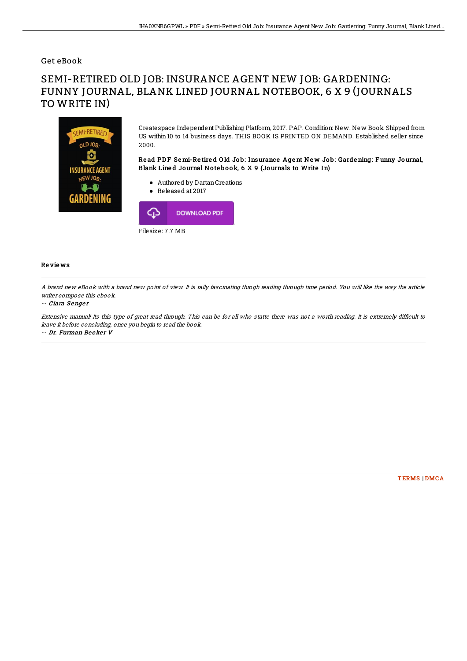### Get eBook

# SEMI-RETIRED OLD JOB: INSURANCE AGENT NEW JOB: GARDENING: FUNNY JOURNAL, BLANK LINED JOURNAL NOTEBOOK, 6 X 9 (JOURNALS TO WRITE IN)



Createspace Independent Publishing Platform, 2017. PAP. Condition: New. New Book. Shipped from US within 10 to 14 business days. THIS BOOK IS PRINTED ON DEMAND. Established seller since 2000.

Read PDF Semi-Retired Old Job: Insurance Agent New Job: Gardening: Funny Journal, Blank Line d Journal No te bo ok, 6 X 9 (Journals to Write In)

- Authored by DartanCreations
- Released at 2017



#### Re vie ws

A brand new eBook with <sup>a</sup> brand new point of view. It is rally fascinating throgh reading through time period. You will like the way the article writer compose this ebook.

#### -- Ciara Senger

Extensive manual! Its this type of great read through. This can be for all who statte there was not a worth reading. It is extremely difficult to leave it before concluding, once you begin to read the book.

-- Dr. Furman Becker V